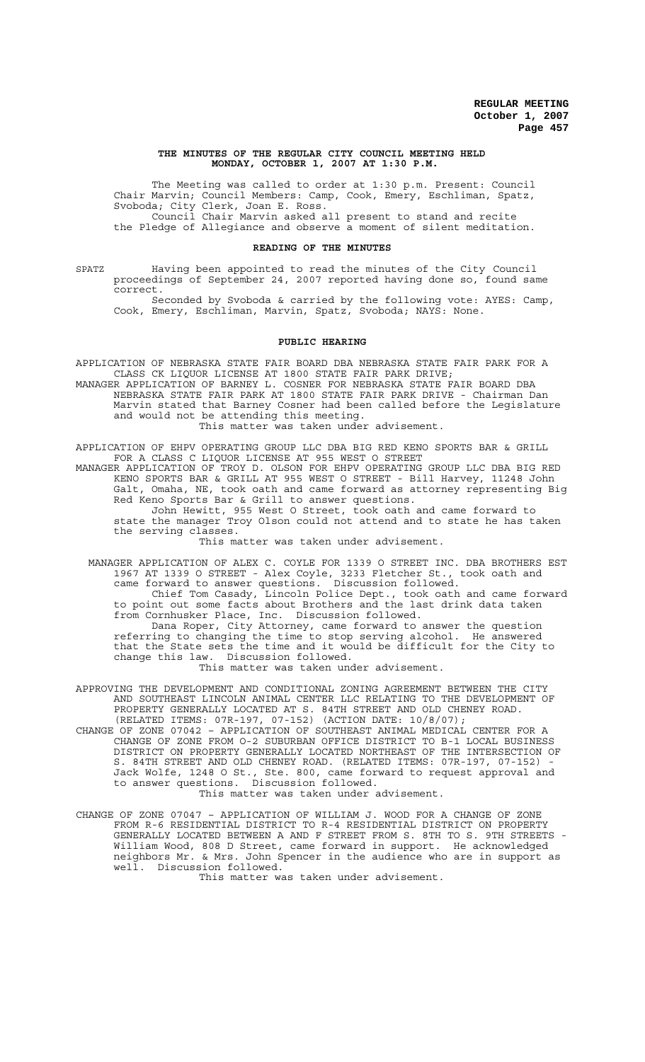#### **THE MINUTES OF THE REGULAR CITY COUNCIL MEETING HELD MONDAY, OCTOBER 1, 2007 AT 1:30 P.M.**

The Meeting was called to order at 1:30 p.m. Present: Council Chair Marvin; Council Members: Camp, Cook, Emery, Eschliman, Spatz, Svoboda; City Clerk, Joan E. Ross. Council Chair Marvin asked all present to stand and recite the Pledge of Allegiance and observe a moment of silent meditation.

#### **READING OF THE MINUTES**

SPATZ Having been appointed to read the minutes of the City Council proceedings of September 24, 2007 reported having done so, found same correct.

Seconded by Svoboda & carried by the following vote: AYES: Camp, Cook, Emery, Eschliman, Marvin, Spatz, Svoboda; NAYS: None.

#### **PUBLIC HEARING**

APPLICATION OF NEBRASKA STATE FAIR BOARD DBA NEBRASKA STATE FAIR PARK FOR A CLASS CK LIQUOR LICENSE AT 1800 STATE FAIR PARK DRIVE;

MANAGER APPLICATION OF BARNEY L. COSNER FOR NEBRASKA STATE FAIR BOARD DBA NEBRASKA STATE FAIR PARK AT 1800 STATE FAIR PARK DRIVE - Chairman Dan Marvin stated that Barney Cosner had been called before the Legislature and would not be attending this meeting. This matter was taken under advisement.

APPLICATION OF EHPV OPERATING GROUP LLC DBA BIG RED KENO SPORTS BAR & GRILL FOR A CLASS C LIQUOR LICENSE AT 955 WEST O STREET

MANAGER APPLICATION OF TROY D. OLSON FOR EHPV OPERATING GROUP LLC DBA BIG RED KENO SPORTS BAR & GRILL AT 955 WEST O STREET - Bill Harvey, 11248 John Galt, Omaha, NE, took oath and came forward as attorney representing Big Red Keno Sports Bar & Grill to answer questions.

John Hewitt, 955 West O Street, took oath and came forward to state the manager Troy Olson could not attend and to state he has taken the serving classes.

This matter was taken under advisement.

 MANAGER APPLICATION OF ALEX C. COYLE FOR 1339 O STREET INC. DBA BROTHERS EST 1967 AT 1339 O STREET - Alex Coyle, 3233 Fletcher St., took oath and came forward to answer questions. Discussion followed.

Chief Tom Casady, Lincoln Police Dept., took oath and came forward to point out some facts about Brothers and the last drink data taken from Cornhusker Place, Inc. Discussion followed.

Dana Roper, City Attorney, came forward to answer the question referring to changing the time to stop serving alcohol. He answered that the State sets the time and it would be difficult for the City to change this law. Discussion followed.

This matter was taken under advisement.

APPROVING THE DEVELOPMENT AND CONDITIONAL ZONING AGREEMENT BETWEEN THE CITY AND SOUTHEAST LINCOLN ANIMAL CENTER LLC RELATING TO THE DEVELOPMENT OF PROPERTY GENERALLY LOCATED AT S. 84TH STREET AND OLD CHENEY ROAD. (RELATED ITEMS: 07R-197, 07-152) (ACTION DATE: 10/8/07);

- CHANGE OF ZONE 07042 APPLICATION OF SOUTHEAST ANIMAL MEDICAL CENTER FOR A CHANGE OF ZONE FROM O-2 SUBURBAN OFFICE DISTRICT TO B-1 LOCAL BUSINESS DISTRICT ON PROPERTY GENERALLY LOCATED NORTHEAST OF THE INTERSECTION OF S. 84TH STREET AND OLD CHENEY ROAD. (RELATED ITEMS: 07R-197, 07-152) Jack Wolfe, 1248 O St., Ste. 800, came forward to request approval and to answer questions. Discussion followed.
	- This matter was taken under advisement.
- CHANGE OF ZONE 07047 APPLICATION OF WILLIAM J. WOOD FOR A CHANGE OF ZONE FROM R-6 RESIDENTIAL DISTRICT TO R-4 RESIDENTIAL DISTRICT ON PROPERTY GENERALLY LOCATED BETWEEN A AND F STREET FROM S. 8TH TO S. 9TH STREETS - William Wood, 808 D Street, came forward in support. He acknowledged neighbors Mr. & Mrs. John Spencer in the audience who are in support as well. Discussion followed.

This matter was taken under advisement.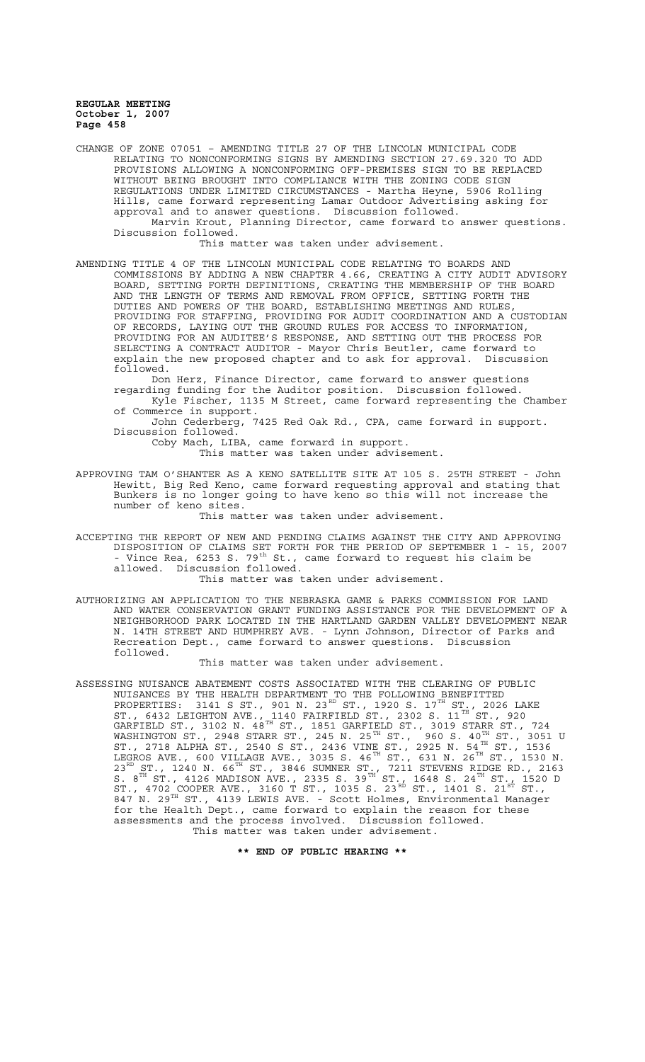CHANGE OF ZONE 07051 – AMENDING TITLE 27 OF THE LINCOLN MUNICIPAL CODE RELATING TO NONCONFORMING SIGNS BY AMENDING SECTION 27.69.320 TO ADD PROVISIONS ALLOWING A NONCONFORMING OFF-PREMISES SIGN TO BE REPLACED WITHOUT BEING BROUGHT INTO COMPLIANCE WITH THE ZONING CODE SIGN REGULATIONS UNDER LIMITED CIRCUMSTANCES - Martha Heyne, 5906 Rolling Hills, came forward representing Lamar Outdoor Advertising asking for approval and to answer questions. Discussion followed. Marvin Krout, Planning Director, came forward to answer questions. Discussion followed.

This matter was taken under advisement.

AMENDING TITLE 4 OF THE LINCOLN MUNICIPAL CODE RELATING TO BOARDS AND COMMISSIONS BY ADDING A NEW CHAPTER 4.66, CREATING A CITY AUDIT ADVISORY BOARD, SETTING FORTH DEFINITIONS, CREATING THE MEMBERSHIP OF THE BOARD AND THE LENGTH OF TERMS AND REMOVAL FROM OFFICE, SETTING FORTH THE DUTIES AND POWERS OF THE BOARD, ESTABLISHING MEETINGS AND RULES, PROVIDING FOR STAFFING, PROVIDING FOR AUDIT COORDINATION AND A CUSTODIAN OF RECORDS, LAYING OUT THE GROUND RULES FOR ACCESS TO INFORMATION, PROVIDING FOR AN AUDITEE'S RESPONSE, AND SETTING OUT THE PROCESS FOR SELECTING A CONTRACT AUDITOR - Mayor Chris Beutler, came forward to explain the new proposed chapter and to ask for approval. Discussion followed.

Don Herz, Finance Director, came forward to answer questions regarding funding for the Auditor position. Discussion followed.

Kyle Fischer, 1135 M Street, came forward representing the Chamber of Commerce in support.

John Cederberg, 7425 Red Oak Rd., CPA, came forward in support. Discussion followed.

Coby Mach, LIBA, came forward in support.

This matter was taken under advisement.

APPROVING TAM O'SHANTER AS A KENO SATELLITE SITE AT 105 S. 25TH STREET - John Hewitt, Big Red Keno, came forward requesting approval and stating that Bunkers is no longer going to have keno so this will not increase the number of keno sites.

This matter was taken under advisement.

ACCEPTING THE REPORT OF NEW AND PENDING CLAIMS AGAINST THE CITY AND APPROVING DISPOSITION OF CLAIMS SET FORTH FOR THE PERIOD OF SEPTEMBER 1 - 15, 2007 - Vince Rea, 6253 S. 79<sup>th</sup> St., came forward to request his claim be allowed. Discussion followed.

This matter was taken under advisement.

AUTHORIZING AN APPLICATION TO THE NEBRASKA GAME & PARKS COMMISSION FOR LAND AND WATER CONSERVATION GRANT FUNDING ASSISTANCE FOR THE DEVELOPMENT OF A NEIGHBORHOOD PARK LOCATED IN THE HARTLAND GARDEN VALLEY DEVELOPMENT NEAR N. 14TH STREET AND HUMPHREY AVE. - Lynn Johnson, Director of Parks and Recreation Dept., came forward to answer questions. Discussion followed.

#### This matter was taken under advisement.

ASSESSING NUISANCE ABATEMENT COSTS ASSOCIATED WITH THE CLEARING OF PUBLIC NUISANCES BY THE HEALTH DEPARTMENT TO THE FOLLOWING BENEFITTED PROPERTIES: 3141 S ST., 901 N. 23 $^{RD}$  ST., 1920 S. 17 $^{TH}$  ST., 2026 LAKE ST., 6432 LEIGHTON AVE., 1140 FAIRFIELD ST., 2302 S. 11 $^{\text{TH}}$  ST., 920 GARFIELD ST., 3102 N.  $48^{\text{\tiny{TH}}}$  ST., 1851 GARFIELD ST., 3019 STARR ST., 724 WASHINGTON ST., 2948 STARR ST., 245 N. 25 $^{\text{\tiny{TH}}}$  ST.,  $^{'}$ 960 S. 40 $^{\text{\tiny{TH}}}$  ST., 3051 U ST., 2718 ALPHA ST., 2540 S ST., 2436 VINE ST., 2925 N. 54 H ST., 1536 LEGROS AVE., 600 VILLAGE AVE., 3035 S. 46 $^{\text{TH}}$  ST., 631 N. 26 $^{\text{TH}}$  ST., 1530 N.  $23^{\text{RD}}$  ST., 1240 N. 66<sup>TH</sup> ST., 3846 SUMNER ST., 7211 STEVENS RIDGE RD., 2163 S.  $8^{TH}$  ST., 4126 MADISON AVE., 2335 S. 39 $^{TH}$  ST., 1648 S. 24 $^{TH}$  ST., 1520 D ST., 4702 COOPER AVE., 3160 T ST., 1035 S. 23 $^{\text{\tiny{{\rm{R}}^{\text{\tiny{\rm{D}}}}}}}$  ST., 1401 S. 21 $^{\text{\tiny{\rm{ST}}}}$  ST., 847 N. 29<sup>TH</sup> ST., 4139 LEWIS AVE. - Scott Holmes, Environmental Manager for the Health Dept., came forward to explain the reason for these assessments and the process involved. Discussion followed. This matter was taken under advisement.

**\*\* END OF PUBLIC HEARING \*\***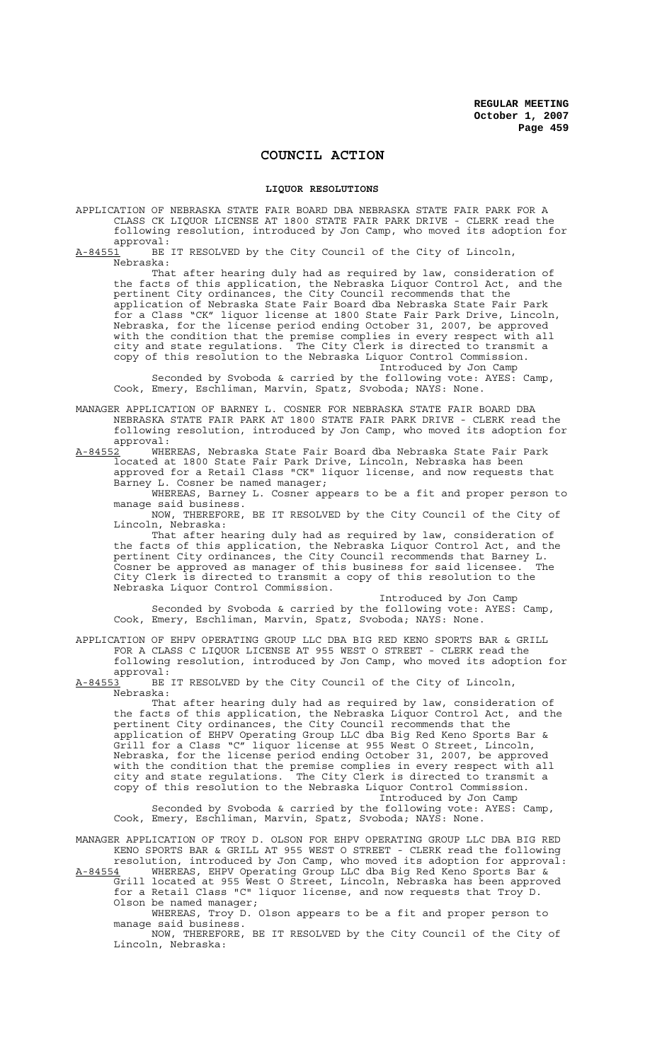# **COUNCIL ACTION**

### **LIQUOR RESOLUTIONS**

APPLICATION OF NEBRASKA STATE FAIR BOARD DBA NEBRASKA STATE FAIR PARK FOR A CLASS CK LIQUOR LICENSE AT 1800 STATE FAIR PARK DRIVE - CLERK read the following resolution, introduced by Jon Camp, who moved its adoption for approval:<br>A-84551 BE

BE IT RESOLVED by the City Council of the City of Lincoln Nebraska:

That after hearing duly had as required by law, consideration of the facts of this application, the Nebraska Liquor Control Act, and the pertinent City ordinances, the City Council recommends that the application of Nebraska State Fair Board dba Nebraska State Fair Park for a Class "CK" liquor license at 1800 State Fair Park Drive, Lincoln, Nebraska, for the license period ending October 31, 2007, be approved with the condition that the premise complies in every respect with all city and state regulations. The City Clerk is directed to transmit a copy of this resolution to the Nebraska Liquor Control Commission. Introduced by Jon Camp

Seconded by Svoboda & carried by the following vote: AYES: Camp, Cook, Emery, Eschliman, Marvin, Spatz, Svoboda; NAYS: None.

MANAGER APPLICATION OF BARNEY L. COSNER FOR NEBRASKA STATE FAIR BOARD DBA NEBRASKA STATE FAIR PARK AT 1800 STATE FAIR PARK DRIVE - CLERK read the following resolution, introduced by Jon Camp, who moved its adoption for

approval:<br>A-84552 WHE WHEREAS, Nebraska State Fair Board dba Nebraska State Fair Park located at 1800 State Fair Park Drive, Lincoln, Nebraska has been approved for a Retail Class "CK" liquor license, and now requests that Barney L. Cosner be named manager;

WHEREAS, Barney L. Cosner appears to be a fit and proper person to manage said business.

NOW, THEREFORE, BE IT RESOLVED by the City Council of the City of Lincoln, Nebraska:

That after hearing duly had as required by law, consideration of the facts of this application, the Nebraska Liquor Control Act, and the pertinent City ordinances, the City Council recommends that Barney L. Cosner be approved as manager of this business for said licensee. The City Clerk is directed to transmit a copy of this resolution to the Nebraska Liquor Control Commission.

Introduced by Jon Camp Seconded by Svoboda & carried by the following vote: AYES: Camp, Cook, Emery, Eschliman, Marvin, Spatz, Svoboda; NAYS: None.

APPLICATION OF EHPV OPERATING GROUP LLC DBA BIG RED KENO SPORTS BAR & GRILL FOR A CLASS C LIQUOR LICENSE AT 955 WEST O STREET - CLERK read the following resolution, introduced by Jon Camp, who moved its adoption for approval:

A-84553 BE IT RESOLVED by the City Council of the City of Lincoln, Nebraska:

That after hearing duly had as required by law, consideration of the facts of this application, the Nebraska Liquor Control Act, and the pertinent City ordinances, the City Council recommends that the application of EHPV Operating Group LLC dba Big Red Keno Sports Bar & Grill for a Class "C" liquor license at 955 West O Street, Lincoln, Nebraska, for the license period ending October 31, 2007, be approved with the condition that the premise complies in every respect with all city and state regulations. The City Clerk is directed to transmit a copy of this resolution to the Nebraska Liquor Control Commission.

Introduced by Jon Camp Seconded by Svoboda & carried by the following vote: AYES: Camp, Cook, Emery, Eschliman, Marvin, Spatz, Svoboda; NAYS: None.

MANAGER APPLICATION OF TROY D. OLSON FOR EHPV OPERATING GROUP LLC DBA BIG RED KENO SPORTS BAR & GRILL AT 955 WEST O STREET - CLERK read the following resolution, introduced by Jon Camp, who moved its adoption for approval:

A-84554 MHEREAS, EHPV Operating Group LLC dba Big Red Keno Sports Bar & Grill located at 955 West O Street, Lincoln, Nebraska has been approved for a Retail Class "C" liquor license, and now requests that Troy D. Olson be named manager;

WHEREAS, Troy D. Olson appears to be a fit and proper person to manage said business.

NOW, THEREFORE, BE IT RESOLVED by the City Council of the City of Lincoln, Nebraska: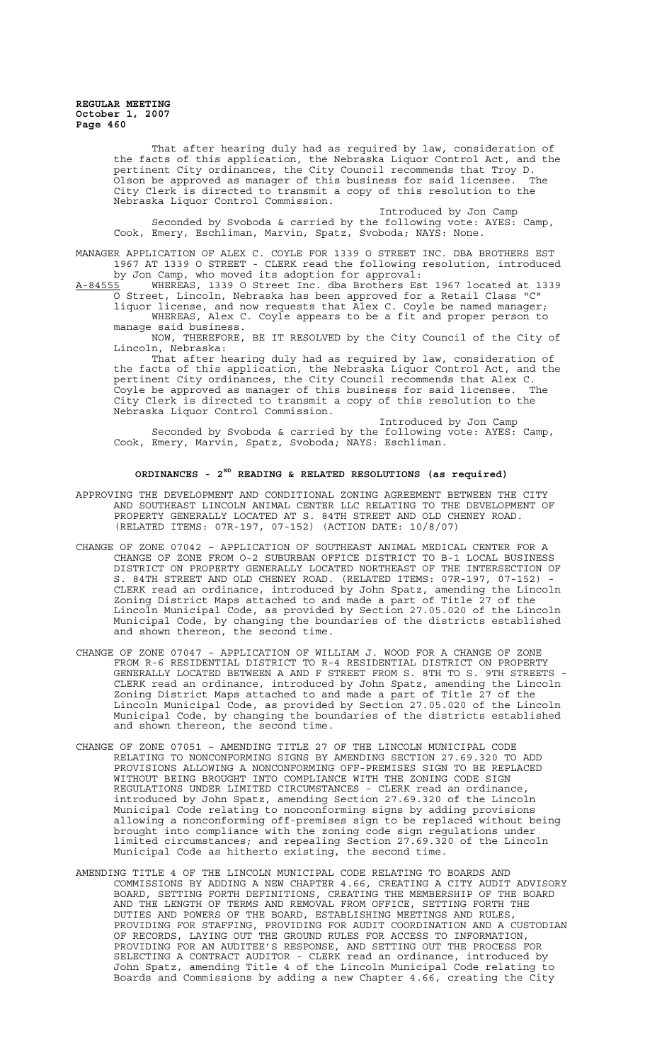> That after hearing duly had as required by law, consideration of the facts of this application, the Nebraska Liquor Control Act, and the pertinent City ordinances, the City Council recommends that Troy D.<br>Olson be approved as manager of this business for said licensee. The .<br>Olson be approved as manager of this business for said licensee. City Clerk is directed to transmit a copy of this resolution to the Nebraska Liquor Control Commission.

Introduced by Jon Camp Seconded by Svoboda & carried by the following vote: AYES: Camp, Cook, Emery, Eschliman, Marvin, Spatz, Svoboda; NAYS: None.

MANAGER APPLICATION OF ALEX C. COYLE FOR 1339 O STREET INC. DBA BROTHERS EST 1967 AT 1339 O STREET - CLERK read the following resolution, introduced by Jon Camp, who moved its adoption for approval:

A-84555 WHEREAS, 1339 O Street Inc. dba Brothers Est 1967 located at 1339 O Street, Lincoln, Nebraska has been approved for a Retail Class "C"

liquor license, and now requests that Alex C. Coyle be named manager; WHEREAS, Alex C. Coyle appears to be a fit and proper person to manage said business.

NOW, THEREFORE, BE IT RESOLVED by the City Council of the City of Lincoln, Nebraska:

That after hearing duly had as required by law, consideration of the facts of this application, the Nebraska Liquor Control Act, and the pertinent City ordinances, the City Council recommends that Alex C. Coyle be approved as manager of this business for said licensee. The City Clerk is directed to transmit a copy of this resolution to the Nebraska Liquor Control Commission.

Introduced by Jon Camp Seconded by Svoboda & carried by the following vote: AYES: Camp, Cook, Emery, Marvin, Spatz, Svoboda; NAYS: Eschliman.

# **ORDINANCES - 2ND READING & RELATED RESOLUTIONS (as required)**

- APPROVING THE DEVELOPMENT AND CONDITIONAL ZONING AGREEMENT BETWEEN THE CITY AND SOUTHEAST LINCOLN ANIMAL CENTER LLC RELATING TO THE DEVELOPMENT OF PROPERTY GENERALLY LOCATED AT S. 84TH STREET AND OLD CHENEY ROAD. (RELATED ITEMS: 07R-197, 07-152) (ACTION DATE: 10/8/07)
- CHANGE OF ZONE 07042 APPLICATION OF SOUTHEAST ANIMAL MEDICAL CENTER FOR A CHANGE OF ZONE FROM O-2 SUBURBAN OFFICE DISTRICT TO B-1 LOCAL BUSINESS DISTRICT ON PROPERTY GENERALLY LOCATED NORTHEAST OF THE INTERSECTION OF S. 84TH STREET AND OLD CHENEY ROAD. (RELATED ITEMS: 07R-197, 07-152) - CLERK read an ordinance, introduced by John Spatz, amending the Lincoln Zoning District Maps attached to and made a part of Title 27 of the Lincoln Municipal Code, as provided by Section 27.05.020 of the Lincoln Municipal Code, by changing the boundaries of the districts established and shown thereon, the second time.
- CHANGE OF ZONE 07047 APPLICATION OF WILLIAM J. WOOD FOR A CHANGE OF ZONE FROM R-6 RESIDENTIAL DISTRICT TO R-4 RESIDENTIAL DISTRICT ON PROPERTY GENERALLY LOCATED BETWEEN A AND F STREET FROM S. 8TH TO S. 9TH STREETS - CLERK read an ordinance, introduced by John Spatz, amending the Lincoln Zoning District Maps attached to and made a part of Title 27 of the Lincoln Municipal Code, as provided by Section 27.05.020 of the Lincoln Municipal Code, by changing the boundaries of the districts established and shown thereon, the second time.
- CHANGE OF ZONE 07051 AMENDING TITLE 27 OF THE LINCOLN MUNICIPAL CODE RELATING TO NONCONFORMING SIGNS BY AMENDING SECTION 27.69.320 TO ADD PROVISIONS ALLOWING A NONCONFORMING OFF-PREMISES SIGN TO BE REPLACED WITHOUT BEING BROUGHT INTO COMPLIANCE WITH THE ZONING CODE SIGN REGULATIONS UNDER LIMITED CIRCUMSTANCES - CLERK read an ordinance, introduced by John Spatz, amending Section 27.69.320 of the Lincoln Municipal Code relating to nonconforming signs by adding provisions allowing a nonconforming off-premises sign to be replaced without being brought into compliance with the zoning code sign regulations under limited circumstances; and repealing Section 27.69.320 of the Lincoln Municipal Code as hitherto existing, the second time.
- AMENDING TITLE 4 OF THE LINCOLN MUNICIPAL CODE RELATING TO BOARDS AND COMMISSIONS BY ADDING A NEW CHAPTER 4.66, CREATING A CITY AUDIT ADVISORY BOARD, SETTING FORTH DEFINITIONS, CREATING THE MEMBERSHIP OF THE BOARD AND THE LENGTH OF TERMS AND REMOVAL FROM OFFICE, SETTING FORTH THE DUTIES AND POWERS OF THE BOARD, ESTABLISHING MEETINGS AND RULES, PROVIDING FOR STAFFING, PROVIDING FOR AUDIT COORDINATION AND A CUSTODIAN OF RECORDS, LAYING OUT THE GROUND RULES FOR ACCESS TO INFORMATION, PROVIDING FOR AN AUDITEE'S RESPONSE, AND SETTING OUT THE PROCESS FOR SELECTING A CONTRACT AUDITOR - CLERK read an ordinance, introduced by John Spatz, amending Title 4 of the Lincoln Municipal Code relating to Boards and Commissions by adding a new Chapter 4.66, creating the City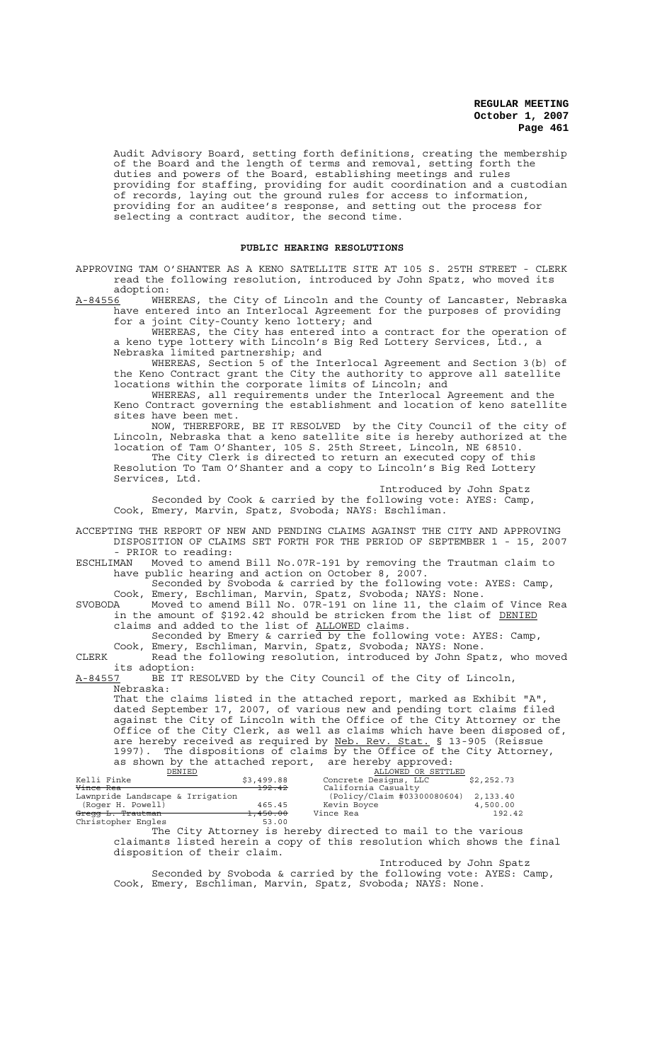Audit Advisory Board, setting forth definitions, creating the membership of the Board and the length of terms and removal, setting forth the duties and powers of the Board, establishing meetings and rules providing for staffing, providing for audit coordination and a custodian of records, laying out the ground rules for access to information, providing for an auditee's response, and setting out the process for selecting a contract auditor, the second time.

# **PUBLIC HEARING RESOLUTIONS**

APPROVING TAM O'SHANTER AS A KENO SATELLITE SITE AT 105 S. 25TH STREET - CLERK read the following resolution, introduced by John Spatz, who moved its adoption:

A-84556 WHEREAS, the City of Lincoln and the County of Lancaster, Nebraska have entered into an Interlocal Agreement for the purposes of providing for a joint City-County keno lottery; and

WHEREAS, the City has entered into a contract for the operation of a keno type lottery with Lincoln's Big Red Lottery Services, Ltd., a Nebraska limited partnership; and

WHEREAS, Section 5 of the Interlocal Agreement and Section 3(b) of the Keno Contract grant the City the authority to approve all satellite locations within the corporate limits of Lincoln; and

WHEREAS, all requirements under the Interlocal Agreement and the Keno Contract governing the establishment and location of keno satellite sites have been met.

NOW, THEREFORE, BE IT RESOLVED by the City Council of the city of Lincoln, Nebraska that a keno satellite site is hereby authorized at the location of Tam O'Shanter, 105 S. 25th Street, Lincoln, NE 68510. The City Clerk is directed to return an executed copy of this Resolution To Tam O'Shanter and a copy to Lincoln's Big Red Lottery Services, Ltd.

Introduced by John Spatz Seconded by Cook & carried by the following vote: AYES: Camp, Cook, Emery, Marvin, Spatz, Svoboda; NAYS: Eschliman.

ACCEPTING THE REPORT OF NEW AND PENDING CLAIMS AGAINST THE CITY AND APPROVING DISPOSITION OF CLAIMS SET FORTH FOR THE PERIOD OF SEPTEMBER 1 - 15, 2007 PRIOR to reading:

ESCHLIMAN Moved to amend Bill No.07R-191 by removing the Trautman claim to have public hearing and action on October 8, 2007.

Seconded by Svoboda & carried by the following vote: AYES: Camp, Cook, Emery, Eschliman, Marvin, Spatz, Svoboda; NAYS: None.

SVOBODA Moved to amend Bill No. 07R-191 on line 11, the claim of Vince Rea SVOBODA Moved to amend Bill No. 07R-191 on line 11, the claim of Vince in the amount of \$192.42 should be stricken from the list of DENIED claims and added to the list of ALLOWED claims.

Seconded by Emery & carried by the following vote: AYES: Camp, Cook, Emery, Eschliman, Marvin, Spatz, Svoboda; NAYS: None.

CLERK Read the following resolution, introduced by John Spatz, who moved its adoption:

BE IT RESOLVED by the City Council of the City of Lincoln, Nebraska:

That the claims listed in the attached report, marked as Exhibit "A", dated September 17, 2007, of various new and pending tort claims filed against the City of Lincoln with the Office of the City Attorney or the Office of the City Clerk, as well as claims which have been disposed of, are hereby received as required by Neb. Rev. Stat. § 13-905 (Reissue 1997). The dispositions of claims by the Office of the City Attorney, as shown by the attached report, are hereby approved:<br><u>DENIED</u> ALLOWED OR SETTLED

| DENIED                           |            | ALLOWED OR SETTLED          |            |
|----------------------------------|------------|-----------------------------|------------|
| Kelli Finke                      | \$3,499.88 | Concrete Designs, LLC       | \$2,252.73 |
| Vince Rea                        | 192.42     | California Casualty         |            |
| Lawnpride Landscape & Irrigation |            | (Policy/Claim #03300080604) | 2,133.40   |
| (Roger H. Powell)                | 465.45     | Kevin Boyce                 | 4,500.00   |
| Gregg L. Trautman                | 1,450.00   | Vince Rea                   | 192.42     |
| Christopher Engles               | 53.00      |                             |            |

The City Attorney is hereby directed to mail to the various claimants listed herein a copy of this resolution which shows the final disposition of their claim.

Introduced by John Spatz Seconded by Svoboda & carried by the following vote: AYES: Camp, Cook, Emery, Eschliman, Marvin, Spatz, Svoboda; NAYS: None.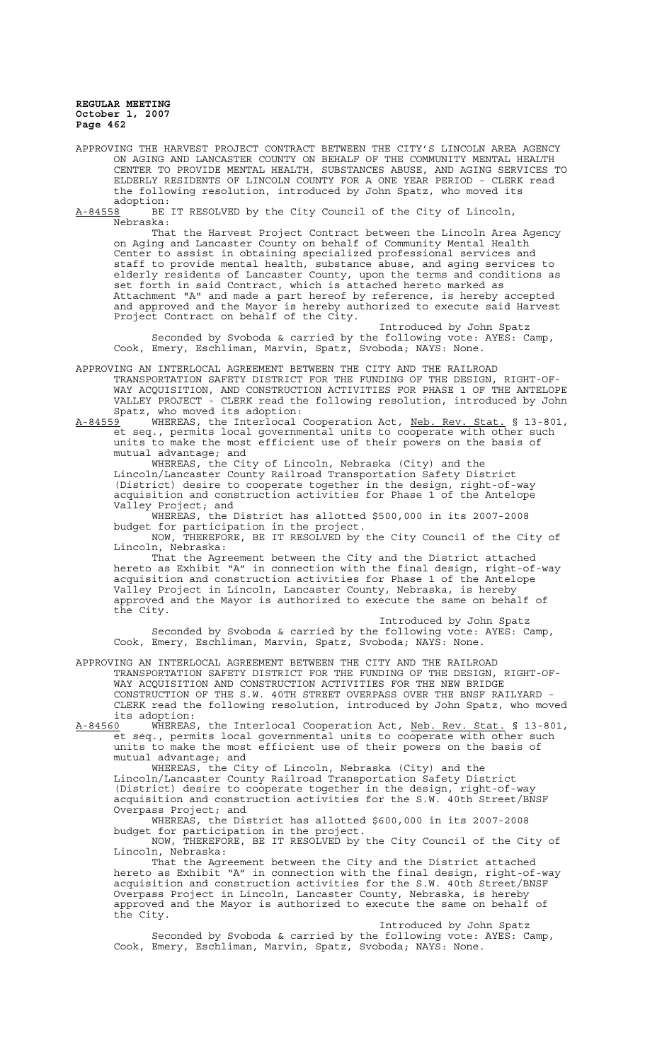APPROVING THE HARVEST PROJECT CONTRACT BETWEEN THE CITY'S LINCOLN AREA AGENCY ON AGING AND LANCASTER COUNTY ON BEHALF OF THE COMMUNITY MENTAL HEALTH CENTER TO PROVIDE MENTAL HEALTH, SUBSTANCES ABUSE, AND AGING SERVICES TO ELDERLY RESIDENTS OF LINCOLN COUNTY FOR A ONE YEAR PERIOD - CLERK read the following resolution, introduced by John Spatz, who moved its adoption:<br>A-84558 BE

BE IT RESOLVED by the City Council of the City of Lincoln, Nebraska:

That the Harvest Project Contract between the Lincoln Area Agency on Aging and Lancaster County on behalf of Community Mental Health Center to assist in obtaining specialized professional services and staff to provide mental health, substance abuse, and aging services to elderly residents of Lancaster County, upon the terms and conditions as set forth in said Contract, which is attached hereto marked as Attachment "A" and made a part hereof by reference, is hereby accepted and approved and the Mayor is hereby authorized to execute said Harvest Project Contract on behalf of the City.

Introduced by John Spatz Seconded by Svoboda & carried by the following vote: AYES: Camp, Cook, Emery, Eschliman, Marvin, Spatz, Svoboda; NAYS: None.

APPROVING AN INTERLOCAL AGREEMENT BETWEEN THE CITY AND THE RAILROAD TRANSPORTATION SAFETY DISTRICT FOR THE FUNDING OF THE DESIGN, RIGHT-OF-WAY ACQUISITION, AND CONSTRUCTION ACTIVITIES FOR PHASE 1 OF THE ANTELOPE VALLEY PROJECT - CLERK read the following resolution, introduced by John Spatz, who moved its adoption:<br>A-84559 WHEREAS, the Interlocal

WHEREAS, the Interlocal Cooperation Act, Neb. Rev. Stat. § 13-801, et seq., permits local governmental units to cooperate with other such units to make the most efficient use of their powers on the basis of mutual advantage; and

WHEREAS, the City of Lincoln, Nebraska (City) and the Lincoln/Lancaster County Railroad Transportation Safety District (District) desire to cooperate together in the design, right-of-way acquisition and construction activities for Phase 1 of the Antelope Valley Project; and

WHEREAS, the District has allotted \$500,000 in its 2007-2008 budget for participation in the project.

NOW, THEREFORE, BE IT RESOLVED by the City Council of the City of Lincoln, Nebraska:

That the Agreement between the City and the District attached hereto as Exhibit "A" in connection with the final design, right-of-way acquisition and construction activities for Phase 1 of the Antelope Valley Project in Lincoln, Lancaster County, Nebraska, is hereby approved and the Mayor is authorized to execute the same on behalf of the City.

Introduced by John Spatz Seconded by Svoboda & carried by the following vote: AYES: Camp, Cook, Emery, Eschliman, Marvin, Spatz, Svoboda; NAYS: None.

APPROVING AN INTERLOCAL AGREEMENT BETWEEN THE CITY AND THE RAILROAD TRANSPORTATION SAFETY DISTRICT FOR THE FUNDING OF THE DESIGN, RIGHT-OF-WAY ACQUISITION AND CONSTRUCTION ACTIVITIES FOR THE NEW BRIDGE CONSTRUCTION OF THE S.W. 40TH STREET OVERPASS OVER THE BNSF RAILYARD - CLERK read the following resolution, introduced by John Spatz, who moved

its adoption:<br>A-84560 WHEREAS WHEREAS, the Interlocal Cooperation Act, Neb. Rev. Stat. § 13-801, et seq., permits local governmental units to cooperate with other such units to make the most efficient use of their powers on the basis of mutual advantage; and

WHEREAS, the City of Lincoln, Nebraska (City) and the Lincoln/Lancaster County Railroad Transportation Safety District (District) desire to cooperate together in the design, right-of-way acquisition and construction activities for the S.W. 40th Street/BNSF Overpass Project; and

WHEREAS, the District has allotted \$600,000 in its 2007-2008 budget for participation in the project.

NOW, THEREFORE, BE IT RESOLVED by the City Council of the City of Lincoln, Nebraska:

That the Agreement between the City and the District attached hereto as Exhibit "A" in connection with the final design, right-of-way acquisition and construction activities for the S.W. 40th Street/BNSF Overpass Project in Lincoln, Lancaster County, Nebraska, is hereby approved and the Mayor is authorized to execute the same on behalf of the City.

Introduced by John Spatz Seconded by Svoboda & carried by the following vote: AYES: Camp, Cook, Emery, Eschliman, Marvin, Spatz, Svoboda; NAYS: None.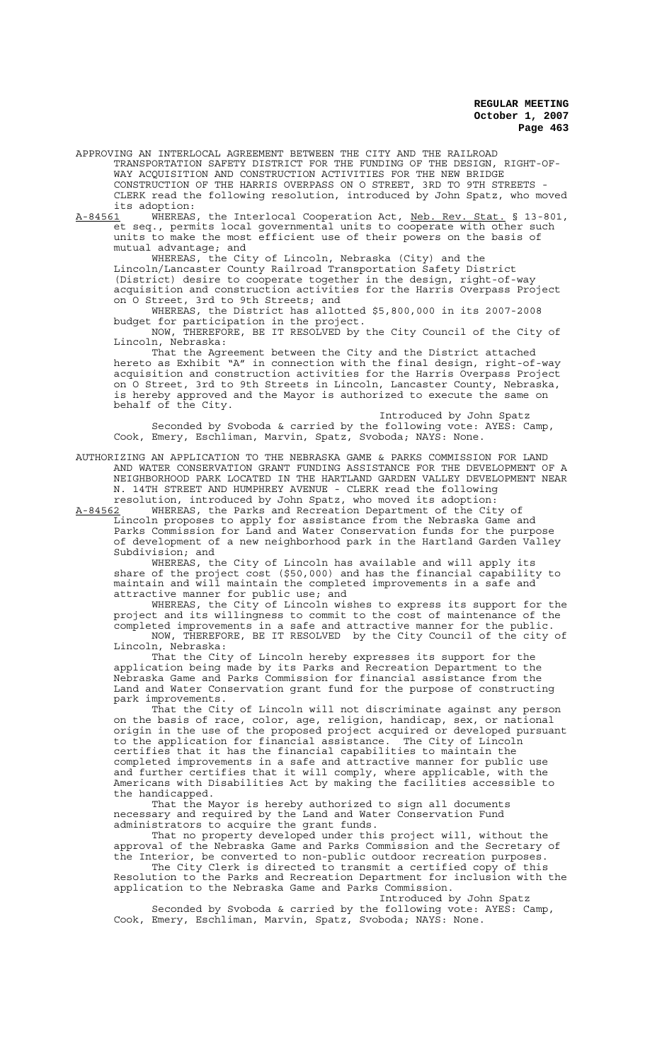APPROVING AN INTERLOCAL AGREEMENT BETWEEN THE CITY AND THE RAILROAD TRANSPORTATION SAFETY DISTRICT FOR THE FUNDING OF THE DESIGN, RIGHT-OF-WAY ACQUISITION AND CONSTRUCTION ACTIVITIES FOR THE NEW BRIDGE CONSTRUCTION OF THE HARRIS OVERPASS ON O STREET, 3RD TO 9TH STREETS - CLERK read the following resolution, introduced by John Spatz, who moved its adoption:<br>A-84561 WHEREAS

A-84561 WHEREAS, the Interlocal Cooperation Act, Neb. Rev. Stat. § 13-801, et seq., permits local governmental units to cooperate with other such units to make the most efficient use of their powers on the basis of mutual advantage; and

WHEREAS, the City of Lincoln, Nebraska (City) and the Lincoln/Lancaster County Railroad Transportation Safety District (District) desire to cooperate together in the design, right-of-way acquisition and construction activities for the Harris Overpass Project on O Street, 3rd to 9th Streets; and

WHEREAS, the District has allotted \$5,800,000 in its 2007-2008 budget for participation in the project.

NOW, THEREFORE, BE IT RESOLVED by the City Council of the City of Lincoln, Nebraska:

That the Agreement between the City and the District attached hereto as Exhibit "A" in connection with the final design, right-of-way acquisition and construction activities for the Harris Overpass Project on O Street, 3rd to 9th Streets in Lincoln, Lancaster County, Nebraska, is hereby approved and the Mayor is authorized to execute the same on behalf of the City.

Introduced by John Spatz Seconded by Svoboda & carried by the following vote: AYES: Camp, Cook, Emery, Eschliman, Marvin, Spatz, Svoboda; NAYS: None.

AUTHORIZING AN APPLICATION TO THE NEBRASKA GAME & PARKS COMMISSION FOR LAND AND WATER CONSERVATION GRANT FUNDING ASSISTANCE FOR THE DEVELOPMENT OF A NEIGHBORHOOD PARK LOCATED IN THE HARTLAND GARDEN VALLEY DEVELOPMENT NEAR N. 14TH STREET AND HUMPHREY AVENUE - CLERK read the following resolution, introduced by John Spatz, who moved its adoption:

A-84562 WHEREAS, the Parks and Recreation Department of the City of Lincoln proposes to apply for assistance from the Nebraska Game and Parks Commission for Land and Water Conservation funds for the purpose of development of a new neighborhood park in the Hartland Garden Valley

Subdivision; and WHEREAS, the City of Lincoln has available and will apply its share of the project cost (\$50,000) and has the financial capability to maintain and will maintain the completed improvements in a safe and

attractive manner for public use; and WHEREAS, the City of Lincoln wishes to express its support for the project and its willingness to commit to the cost of maintenance of the completed improvements in a safe and attractive manner for the public. NOW, THEREFORE, BE IT RESOLVED by the City Council of the city of

Lincoln, Nebraska:

That the City of Lincoln hereby expresses its support for the application being made by its Parks and Recreation Department to the Nebraska Game and Parks Commission for financial assistance from the Land and Water Conservation grant fund for the purpose of constructing park improvements.

That the City of Lincoln will not discriminate against any person on the basis of race, color, age, religion, handicap, sex, or national origin in the use of the proposed project acquired or developed pursuant to the application for financial assistance. The City of Lincoln certifies that it has the financial capabilities to maintain the completed improvements in a safe and attractive manner for public use and further certifies that it will comply, where applicable, with the Americans with Disabilities Act by making the facilities accessible to the handicapped.

That the Mayor is hereby authorized to sign all documents necessary and required by the Land and Water Conservation Fund administrators to acquire the grant funds.

That no property developed under this project will, without the approval of the Nebraska Game and Parks Commission and the Secretary of the Interior, be converted to non-public outdoor recreation purposes.

The City Clerk is directed to transmit a certified copy of this Resolution to the Parks and Recreation Department for inclusion with the application to the Nebraska Game and Parks Commission.

Introduced by John Spatz Seconded by Svoboda & carried by the following vote: AYES: Camp, Cook, Emery, Eschliman, Marvin, Spatz, Svoboda; NAYS: None.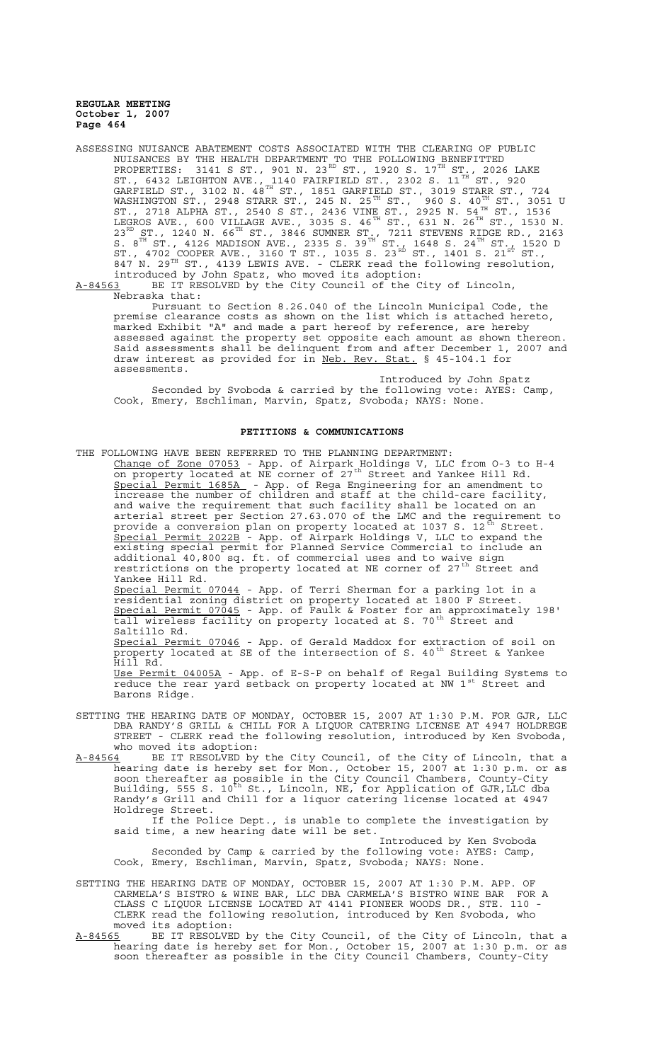ASSESSING NUISANCE ABATEMENT COSTS ASSOCIATED WITH THE CLEARING OF PUBLIC NUISANCES BY THE HEALTH DEPARTMENT TO THE FOLLOWING BENEFITTED PROPERTIES: 3141 S ST., 901 N. 23 $^{\text{\tiny{RD}}}$  ST., 1920 S. 17 $^{\text{\tiny{TH}}}$  ST., 2026 LAKE ST., 6432 LEIGHTON AVE., 1140 FAIRFIELD ST., 2302 S. 11 $^{\text{TH}}$  ST., 920 GARFIELD ST., 3102 N.  $48^{\text{TH}}$  ST., 1851 GARFIELD ST., 3019 STARR ST., 724 WASHINGTON ST., 2948 STARR ST., 245 N. 25 $^{\text{\tiny{TH}}}$  ST.,  $^{'}$ 960 S. 40 $^{\text{\tiny{TH}}}$  ST., 3051 U ST., 2718 ALPHA ST., 2540 S ST., 2436 VINE ST., 2925 N. 54 $^{\tt TH}$  ST., 1536 LEGROS AVE., 600 VILLAGE AVE., 3035 S. 46 $^{\text{\tiny{TH}}}$  ST., 631 N. 26 $^{\text{\tiny{TH}}}$  ST., 1530 N.  $23^{\text{RD}}$  ST., 1240 N. 66<sup>TH</sup> ST., 3846 SUMNER ST., 7211 STEVENS RIDGE RD., 2163 S.  $8^{TH}$  ST., 4126 MADISON AVE., 2335 S. 39 $^{TH}$  ST., 1648 S. 24 $^{TH}$  ST., 1520 D ST., 4702 COOPER AVE., 3160 T ST., 1035 S. 23 $^{\text{\tiny{{\rm ÷b}}}}$  ST., 1401 S. 21 $^{\text{\tiny{\rm STr}}}$  ST., 847 N. 29<sup>TH</sup> ST., 4139 LEWIS AVE. - CLERK read the following resolution, introduced by John Spatz, who moved its adoption:

A-84563 BE IT RESOLVED by the City Council of the City of Lincoln, Nebraska that:

Pursuant to Section 8.26.040 of the Lincoln Municipal Code, the premise clearance costs as shown on the list which is attached hereto, marked Exhibit "A" and made a part hereof by reference, are hereby assessed against the property set opposite each amount as shown thereon. Said assessments shall be delinquent from and after December 1, 2007 and draw interest as provided for in Neb. Rev. Stat. § 45-104.1 for assessments.

Introduced by John Spatz Seconded by Svoboda & carried by the following vote: AYES: Camp, Cook, Emery, Eschliman, Marvin, Spatz, Svoboda; NAYS: None.

## **PETITIONS & COMMUNICATIONS**

THE FOLLOWING HAVE BEEN REFERRED TO THE PLANNING DEPARTMENT: Change of Zone 07053 - App. of Airpark Holdings V, LLC from 0-3 to H-4 on property located at NE corner of 27<sup>th</sup> Street and Yankee Hill Rd. Special Permit 1685A - App. of Rega Engineering for an amendment to increase the number of children and staff at the child-care facility, and waive the requirement that such facility shall be located on an arterial street per Section 27.63.070 of the LMC and the requirement to provide a conversion plan on property located at 1037 S. 12 $^{\text{th}}$  Street. Special Permit 2022B - App. of Airpark Holdings V, LLC to expand the existing special permit for Planned Service Commercial to include an additional 40,800 sq. ft. of commercial uses and to waive sign restrictions on the property located at NE corner of 27<sup>th</sup> Street and Yankee Hill Rd. Special Permit 07044 - App. of Terri Sherman for a parking lot in a residential zoning district on property located at 1800 F Street. Special Permit 07045 - App. of Faulk & Foster for an approximately 198' tall wireless facility on property located at S. 70<sup>th</sup> Street and Saltillo Rd. Special Permit 07046 - App. of Gerald Maddox for extraction of soil on property located at SE of the intersection of S. 40<sup>th</sup> Street & Yankee Hill Rd. Use Permit 04005A - App. of E-S-P on behalf of Regal Building Systems to reduce the rear yard setback on property located at NW 1<sup>st</sup> Street and Barons Ridge.

- SETTING THE HEARING DATE OF MONDAY, OCTOBER 15, 2007 AT 1:30 P.M. FOR GJR, LLC DBA RANDY'S GRILL & CHILL FOR A LIQUOR CATERING LICENSE AT 4947 HOLDREGE STREET - CLERK read the following resolution, introduced by Ken Svoboda, who moved its adoption:
- A-84564 BE IT RESOLVED by the City Council, of the City of Lincoln, that a hearing date is hereby set for Mon., October 15, 2007 at 1:30 p.m. or as soon thereafter as possible in the City Council Chambers, County-City Building, 555 S. 10<sup>th</sup> St., Lincoln, NE, for Application of GJR,LLC dba Randy's Grill and Chill for a liquor catering license located at 4947 Holdrege Street.

If the Police Dept., is unable to complete the investigation by said time, a new hearing date will be set.

Introduced by Ken Svoboda Seconded by Camp & carried by the following vote: AYES: Camp, Cook, Emery, Eschliman, Marvin, Spatz, Svoboda; NAYS: None.

- SETTING THE HEARING DATE OF MONDAY, OCTOBER 15, 2007 AT 1:30 P.M. APP. OF CARMELA'S BISTRO & WINE BAR, LLC DBA CARMELA'S BISTRO WINE BAR FOR A CLASS C LIQUOR LICENSE LOCATED AT 4141 PIONEER WOODS DR., STE. 110 - CLERK read the following resolution, introduced by Ken Svoboda, who moved its adoption:
- A-84565 BE IT RESOLVED by the City Council, of the City of Lincoln, that a hearing date is hereby set for Mon., October 15, 2007 at 1:30 p.m. or as soon thereafter as possible in the City Council Chambers, County-City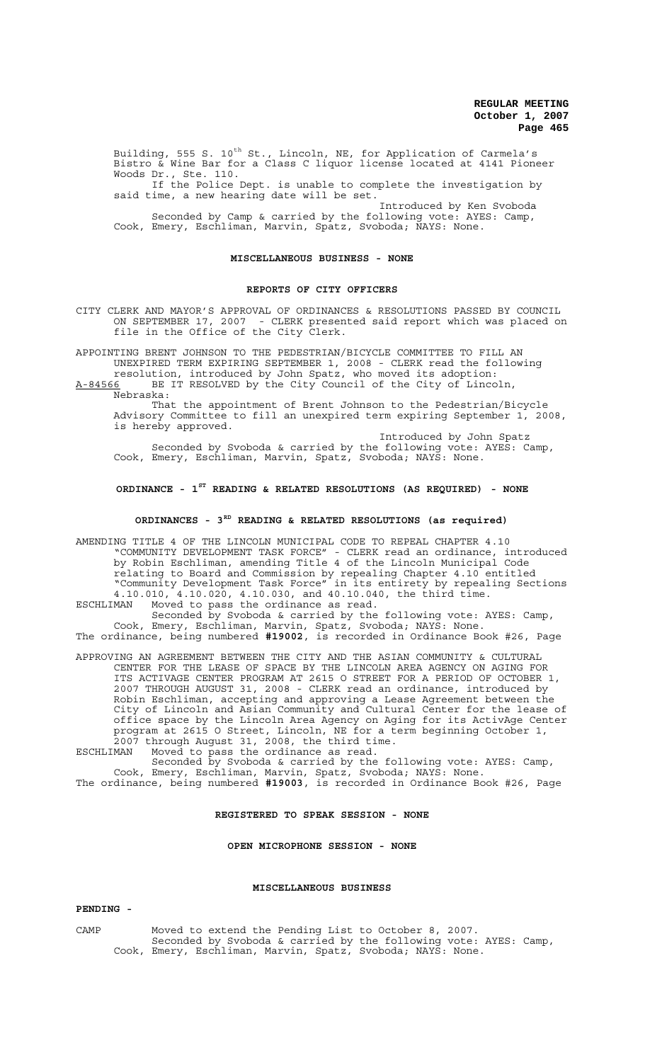Building, 555 S. 10<sup>th</sup> St., Lincoln, NE, for Application of Carmela's Bistro & Wine Bar for a Class C liquor license located at 4141 Pioneer Woods Dr., Ste. 110.

If the Police Dept. is unable to complete the investigation by said time, a new hearing date will be set.

Introduced by Ken Svoboda Seconded by Camp & carried by the following vote: AYES: Camp, Cook, Emery, Eschliman, Marvin, Spatz, Svoboda; NAYS: None.

#### **MISCELLANEOUS BUSINESS - NONE**

#### **REPORTS OF CITY OFFICERS**

CITY CLERK AND MAYOR'S APPROVAL OF ORDINANCES & RESOLUTIONS PASSED BY COUNCIL ON SEPTEMBER 17, 2007 - CLERK presented said report which was placed on file in the Office of the City Clerk.

APPOINTING BRENT JOHNSON TO THE PEDESTRIAN/BICYCLE COMMITTEE TO FILL AN UNEXPIRED TERM EXPIRING SEPTEMBER 1, 2008 - CLERK read the following

resolution, introduced by John Spatz, who moved its adoption: A-84566 BE IT RESOLVED by the City Council of the City of Lincoln, Nebraska:

That the appointment of Brent Johnson to the Pedestrian/Bicycle Advisory Committee to fill an unexpired term expiring September 1, 2008, is hereby approved.

Introduced by John Spatz Seconded by Svoboda & carried by the following vote: AYES: Camp, Cook, Emery, Eschliman, Marvin, Spatz, Svoboda; NAYS: None.

# **ORDINANCE - 1ST READING & RELATED RESOLUTIONS (AS REQUIRED) - NONE**

# **ORDINANCES - 3RD READING & RELATED RESOLUTIONS (as required)**

AMENDING TITLE 4 OF THE LINCOLN MUNICIPAL CODE TO REPEAL CHAPTER 4.10 "COMMUNITY DEVELOPMENT TASK FORCE" - CLERK read an ordinance, introduced by Robin Eschliman, amending Title 4 of the Lincoln Municipal Code relating to Board and Commission by repealing Chapter 4.10 entitled "Community Development Task Force" in its entirety by repealing Sections 4.10.010, 4.10.020, 4.10.030, and 40.10.040, the third time.

ESCHLIMAN Moved to pass the ordinance as read. Seconded by Svoboda & carried by the following vote: AYES: Camp, Cook, Emery, Eschliman, Marvin, Spatz, Svoboda; NAYS: None.

The ordinance, being numbered **#19002**, is recorded in Ordinance Book #26, Page

APPROVING AN AGREEMENT BETWEEN THE CITY AND THE ASIAN COMMUNITY & CULTURAL CENTER FOR THE LEASE OF SPACE BY THE LINCOLN AREA AGENCY ON AGING FOR ITS ACTIVAGE CENTER PROGRAM AT 2615 O STREET FOR A PERIOD OF OCTOBER 1, 2007 THROUGH AUGUST 31, 2008 - CLERK read an ordinance, introduced by Robin Eschliman, accepting and approving a Lease Agreement between the City of Lincoln and Asian Community and Cultural Center for the lease of office space by the Lincoln Area Agency on Aging for its ActivAge Center program at 2615 O Street, Lincoln, NE for a term beginning October 1, 2007 through August 31, 2008, the third time.

ESCHLIMAN Moved to pass the ordinance as read.

Seconded by Svoboda & carried by the following vote: AYES: Camp, Cook, Emery, Eschliman, Marvin, Spatz, Svoboda; NAYS: None. The ordinance, being numbered **#19003**, is recorded in Ordinance Book #26, Page

### **REGISTERED TO SPEAK SESSION - NONE**

### **OPEN MICROPHONE SESSION - NONE**

### **MISCELLANEOUS BUSINESS**

#### **PENDING -**

CAMP Moved to extend the Pending List to October 8, 2007. Seconded by Svoboda & carried by the following vote: AYES: Camp, Cook, Emery, Eschliman, Marvin, Spatz, Svoboda; NAYS: None.